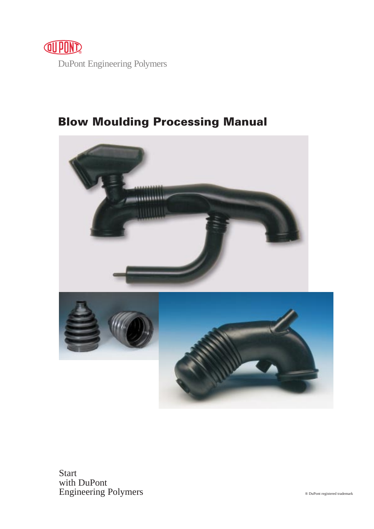

# **Blow Moulding Processing Manual**



Start with DuPont Engineering Polymers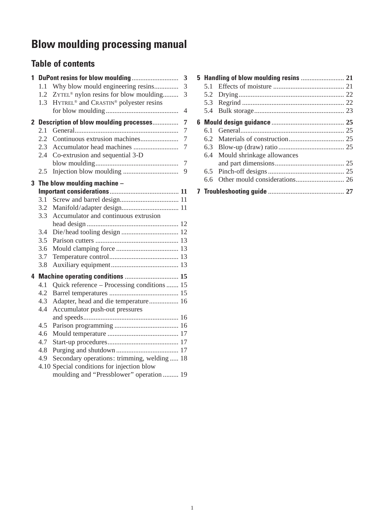# **Blow moulding processing manual**

# **Table of contents**

| $\mathbf{1}$ |               |                                                               | $\overline{\mathbf{3}}$ |
|--------------|---------------|---------------------------------------------------------------|-------------------------|
|              | 1.1           | Why blow mould engineering resins                             | $\overline{3}$          |
|              | 1.2           | ZYTEL <sup>®</sup> nylon resins for blow moulding             | $\overline{3}$          |
|              | 1.3           | HYTREL <sup>®</sup> and CRASTIN <sup>®</sup> polyester resins |                         |
|              |               |                                                               | $\overline{4}$          |
|              |               | 2 Description of blow moulding processes                      | $\overline{7}$          |
|              | 2.1           |                                                               | $\overline{7}$          |
|              | $2.2^{\circ}$ |                                                               | $\overline{7}$          |
|              | $2.3^{\circ}$ |                                                               | $\overline{7}$          |
|              | 2.4           | Co-extrusion and sequential 3-D                               |                         |
|              |               |                                                               | $\overline{7}$          |
|              | 2.5           |                                                               | 9                       |
|              |               | 3 The blow moulding machine $-$                               |                         |
|              |               |                                                               |                         |
|              | 3.1           |                                                               |                         |
|              | 3.2           |                                                               |                         |
|              | 3.3           | Accumulator and continuous extrusion                          |                         |
|              |               |                                                               |                         |
|              | 3.4           |                                                               |                         |
|              | 3.5           |                                                               |                         |
|              | 3.6           |                                                               |                         |
|              | 3.7           |                                                               |                         |
|              | 3.8           |                                                               |                         |
|              |               | 4 Machine operating conditions  15                            |                         |
|              | 4.1           | Quick reference - Processing conditions  15                   |                         |
|              | 4.2           |                                                               |                         |
|              | 4.3           | Adapter, head and die temperature 16                          |                         |
|              | 4.4           | Accumulator push-out pressures                                |                         |
|              |               |                                                               |                         |
|              | 4.5           |                                                               |                         |
|              | 4.6           |                                                               |                         |
|              | 4.7           |                                                               |                         |
|              | 4.8           |                                                               |                         |
|              | 4.9           | Secondary operations: trimming, welding  18                   |                         |
|              |               | 4.10 Special conditions for injection blow                    |                         |
|              |               | moulding and "Pressblower" operation  19                      |                         |

| 51  |                                |  |
|-----|--------------------------------|--|
| 5.2 |                                |  |
|     |                                |  |
|     |                                |  |
|     |                                |  |
| 61  |                                |  |
| 62  |                                |  |
|     |                                |  |
|     | 6.4 Mould shrinkage allowances |  |
|     |                                |  |
|     |                                |  |
| 6.6 |                                |  |
|     |                                |  |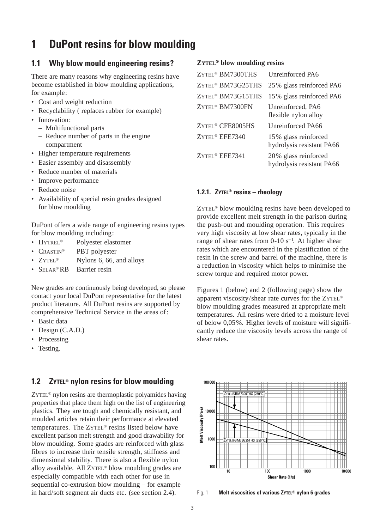# **1 DuPont resins for blow moulding**

## **1.1 Why blow mould engineering resins?**

There are many reasons why engineering resins have become established in blow moulding applications, for example:

- Cost and weight reduction
- Recyclability ( replaces rubber for example)
- Innovation:
	- Multifunctional parts
	- Reduce number of parts in the engine compartment
- Higher temperature requirements
- Easier assembly and disassembly
- Reduce number of materials
- Improve performance
- Reduce noise
- Availability of special resin grades designed for blow moulding

DuPont offers a wide range of engineering resins types for blow moulding including:

- HYTREL® Polyester elastomer
- CRASTIN<sup>®</sup> PBT polyester
- ZYTEL<sup>®</sup> Nylons 6, 66, and alloys
- SELAR®RB Barrier resin

New grades are continuously being developed, so please contact your local DuPont representative for the latest product literature. All DuPont resins are supported by comprehensive Technical Service in the areas of:

- Basic data
- Design (C.A.D.)
- Processing
- Testing.

# **1.2 ZYTEL® nylon resins for blow moulding**

ZYTEL® nylon resins are thermoplastic polyamides having properties that place them high on the list of engineering plastics. They are tough and chemically resistant, and moulded articles retain their performance at elevated temperatures. The ZYTEL® resins listed below have excellent parison melt strength and good drawability for blow moulding. Some grades are reinforced with glass fibres to increase their tensile strength, stiffness and dimensional stability. There is also a flexible nylon alloy available. All ZYTEL® blow moulding grades are especially compatible with each other for use in sequential co-extrusion blow moulding – for example in hard/soft segment air ducts etc. (see section 2.4).

## **ZYTEL® blow moulding resins**

| ZYTEL <sup>®</sup> BM7300THS  | Unreinforced PA6                                  |
|-------------------------------|---------------------------------------------------|
| ZYTEL <sup>®</sup> BM73G25THS | 25% glass reinforced PA6                          |
| ZYTEL <sup>®</sup> BM73G15THS | 15% glass reinforced PA6                          |
| ZYTEL <sup>®</sup> BM7300FN   | Unreinforced, PA6<br>flexible nylon alloy         |
| ZYTEL <sup>®</sup> CFE8005HS  | Unreinforced PA66                                 |
| ZYTEL <sup>®</sup> EFE7340    | 15% glass reinforced<br>hydrolysis resistant PA66 |
| ZYTEL <sup>®</sup> EFE7341    | 20% glass reinforced<br>hydrolysis resistant PA66 |

## **1.2.1. ZYTEL® resins – rheology**

ZYTEL® blow moulding resins have been developed to provide excellent melt strength in the parison during the push-out and moulding operation. This requires very high viscosity at low shear rates, typically in the range of shear rates from  $0-10$  s<sup>-1</sup>. At higher shear rates which are encountered in the plastification of the resin in the screw and barrel of the machine, there is a reduction in viscosity which helps to minimise the screw torque and required motor power.

Figures 1 (below) and 2 (following page) show the apparent viscosity/shear rate curves for the ZYTEL® blow moulding grades measured at appropriate melt temperatures. All resins were dried to a moisture level of below 0,05%. Higher levels of moisture will significantly reduce the viscosity levels across the range of shear rates.



Fig. 1 **Melt viscosities of various ZYTEL**® **nylon 6 grades**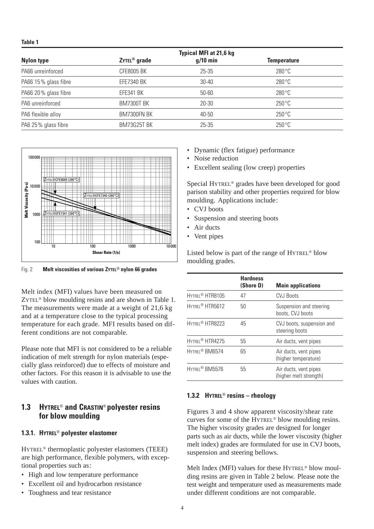**Table 1**

|                      |                          | <b>Typical MFI at 21,6 kg</b> |                    |
|----------------------|--------------------------|-------------------------------|--------------------|
| <b>Nylon type</b>    | ZYTEL <sup>®</sup> grade | $g/10$ min                    | <b>Temperature</b> |
| PA66 unreinforced    | <b>CFE8005 BK</b>        | $25 - 35$                     | $280^{\circ}$ C    |
| PA66 15% glass fibre | <b>EFE7340 BK</b>        | $30 - 40$                     | $280^{\circ}$ C    |
| PA66 20% glass fibre | <b>EFE341 BK</b>         | $50 - 60$                     | $280^{\circ}$ C    |
| PA6 unreinforced     | <b>BM7300T BK</b>        | 20-30                         | $250^{\circ}$ C    |
| PA6 flexible alloy   | BM7300FN BK              | 40-50                         | $250^{\circ}$ C    |
| PA6 25% glass fibre  | BM73G25T BK              | $25 - 35$                     | $250^{\circ}$ C    |



Fig. 2 **Melt viscosities of various ZYTEL**® **nylon 66 grades**

Melt index (MFI) values have been measured on ZYTEL® blow moulding resins and are shown in Table 1. The measurements were made at a weight of 21,6 kg and at a temperature close to the typical processing temperature for each grade. MFI results based on different conditions are not comparable.

Please note that MFI is not considered to be a reliable indication of melt strength for nylon materials (especially glass reinforced) due to effects of moisture and other factors. For this reason it is advisable to use the values with caution.

# **1.3 HYTREL**® **and CRASTIN**® **polyester resins for blow moulding**

## **1.3.1. HYTREL**® **polyester elastomer**

HYTREL® thermoplastic polyester elastomers (TEEE) are high performance, flexible polymers, with exceptional properties such as:

- High and low temperature performance
- Excellent oil and hydrocarbon resistance
- Toughness and tear resistance
- Dynamic (flex fatigue) performance
- Noise reduction
- Excellent sealing (low creep) properties

Special HYTREL® grades have been developed for good parison stability and other properties required for blow moulding. Applications include:

- CVJ boots
- Suspension and steering boots
- Air ducts
- Vent pipes

Listed below is part of the range of HYTREL® blow moulding grades.

|                             | <b>Hardness</b><br>(Shore D) | <b>Main applications</b>                        |
|-----------------------------|------------------------------|-------------------------------------------------|
| HYTREL <sup>®</sup> HTR8105 | 47                           | <b>CVJ Boots</b>                                |
| HYTREI <sup>®</sup> HTR5612 | 50                           | Suspension and steering<br>boots, CVJ boots     |
| HYTREI <sup>®</sup> HTR8223 | 45                           | CVJ boots, suspension and<br>steering boots     |
| HYTREI <sup>®</sup> HTR4275 | 55                           | Air ducts, vent pipes                           |
| HYTREL® BM6574              | 65                           | Air ducts, vent pipes<br>(higher temperature)   |
| HYTREL <sup>®</sup> BM5576  | 55                           | Air ducts, vent pipes<br>(higher melt strength) |

## **1.3.2 HYTREL**® **resins – rheology**

Figures 3 and 4 show apparent viscosity/shear rate curves for some of the HYTREL® blow moulding resins. The higher viscosity grades are designed for longer parts such as air ducts, while the lower viscosity (higher melt index) grades are formulated for use in CVJ boots, suspension and steering bellows.

Melt Index (MFI) values for these HYTREL® blow moulding resins are given in Table 2 below. Please note the test weight and temperature used as measurements made under different conditions are not comparable.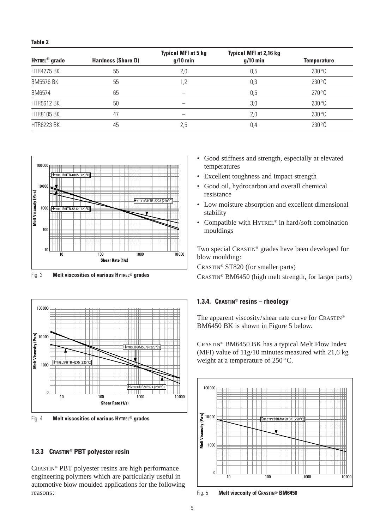|                           |                           | <b>Typical MFI at 5 kg</b> | <b>Typical MFI at 2,16 kg</b> |                 |  |
|---------------------------|---------------------------|----------------------------|-------------------------------|-----------------|--|
| HYTREL <sup>®</sup> grade | <b>Hardness (Shore D)</b> | $g/10$ min                 | $q/10$ min                    | Temperature     |  |
| <b>HTR4275 BK</b>         | 55                        | 2,0                        | 0,5                           | $230^{\circ}$ C |  |
| <b>BM5576 BK</b>          | 55                        | 1.2                        | 0,3                           | $230^{\circ}$ C |  |
| BM6574                    | 65                        |                            | 0,5                           | $270^{\circ}$ C |  |
| <b>HTR5612 BK</b>         | 50                        |                            | 3,0                           | $230^{\circ}$ C |  |
| <b>HTR8105 BK</b>         | 47                        |                            | 2,0                           | $230^{\circ}$ C |  |
| <b>HTR8223 BK</b>         | 45                        | 2,5                        | 0,4                           | $230^{\circ}$ C |  |



Fig. 3 **Melt viscosities of various HYTREL**® **grades**



Fig. 4 **Melt viscosities of various HYTREL**® **grades**

## **1.3.3 CRASTIN**® **PBT polyester resin**

CRASTIN® PBT polyester resins are high performance engineering polymers which are particularly useful in automotive blow moulded applications for the following reasons:

- Good stiffness and strength, especially at elevated temperatures
- Excellent toughness and impact strength
- Good oil, hydrocarbon and overall chemical resistance
- Low moisture absorption and excellent dimensional stability
- Compatible with HYTREL<sup>®</sup> in hard/soft combination mouldings

Two special CRASTIN® grades have been developed for blow moulding:

CRASTIN® ST820 (for smaller parts)

CRASTIN® BM6450 (high melt strength, for larger parts)

## **1.3.4. CRASTIN**® **resins – rheology**

The apparent viscosity/shear rate curve for CRASTIN® BM6450 BK is shown in Figure 5 below.

CRASTIN® BM6450 BK has a typical Melt Flow Index (MFI) value of 11g/10 minutes measured with 21,6 kg weight at a temperature of 250°C.



Fig. 5 **Melt viscosity of CRASTIN**® **BM6450**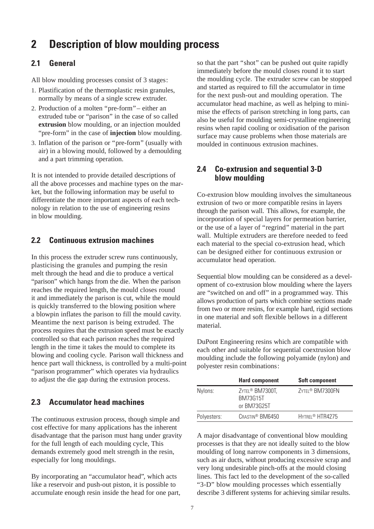# **2 Description of blow moulding process**

# **2.1 General**

All blow moulding processes consist of 3 stages:

- 1. Plastification of the thermoplastic resin granules, normally by means of a single screw extruder.
- 2. Production of a molten "pre-form" either an extruded tube or "parison" in the case of so called **extrusion** blow moulding, or an injection moulded "pre-form" in the case of **injection** blow moulding.
- 3. Inflation of the parison or "pre-form" (usually with air) in a blowing mould, followed by a demoulding and a part trimming operation.

It is not intended to provide detailed descriptions of all the above processes and machine types on the market, but the following information may be useful to differentiate the more important aspects of each technology in relation to the use of engineering resins in blow moulding.

# **2.2 Continuous extrusion machines**

In this process the extruder screw runs continuously, plasticising the granules and pumping the resin melt through the head and die to produce a vertical "parison" which hangs from the die. When the parison reaches the required length, the mould closes round it and immediately the parison is cut, while the mould is quickly transferred to the blowing position where a blowpin inflates the parison to fill the mould cavity. Meantime the next parison is being extruded. The process requires that the extrusion speed must be exactly controlled so that each parison reaches the required length in the time it takes the mould to complete its blowing and cooling cycle. Parison wall thickness and hence part wall thickness, is controlled by a multi-point "parison programmer" which operates via hydraulics to adjust the die gap during the extrusion process.

# **2.3 Accumulator head machines**

The continuous extrusion process, though simple and cost effective for many applications has the inherent disadvantage that the parison must hang under gravity for the full length of each moulding cycle, This demands extremely good melt strength in the resin, especially for long mouldings.

By incorporating an "accumulator head", which acts like a reservoir and push-out piston, it is possible to accumulate enough resin inside the head for one part, so that the part "shot" can be pushed out quite rapidly immediately before the mould closes round it to start the moulding cycle. The extruder screw can be stopped and started as required to fill the accumulator in time for the next push-out and moulding operation. The accumulator head machine, as well as helping to minimise the effects of parison stretching in long parts, can also be useful for moulding semi-crystalline engineering resins when rapid cooling or oxidisation of the parison surface may cause problems when those materials are moulded in continuous extrusion machines.

# **2.4 Co-extrusion and sequential 3-D blow moulding**

Co-extrusion blow moulding involves the simultaneous extrusion of two or more compatible resins in layers through the parison wall. This allows, for example, the incorporation of special layers for permeation barrier, or the use of a layer of "regrind" material in the part wall. Multiple extruders are therefore needed to feed each material to the special co-extrusion head, which can be designed either for continuous extrusion or accumulator head operation.

Sequential blow moulding can be considered as a development of co-extrusion blow moulding where the layers are "switched on and off" in a programmed way. This allows production of parts which combine sections made from two or more resins, for example hard, rigid sections in one material and soft flexible bellows in a different material.

DuPont Engineering resins which are compatible with each other and suitable for sequential coextrusion blow moulding include the following polyamide (nylon) and polyester resin combinations:

|             | <b>Hard component</b>                                         | <b>Soft component</b>       |
|-------------|---------------------------------------------------------------|-----------------------------|
| Nylons:     | ZYTEL <sup>®</sup> BM7300T.<br><b>BM73G15T</b><br>or BM73G25T | ZYTEL <sup>®</sup> BM7300FN |
| Polyesters: | CRASTIN <sup>®</sup> BM6450                                   | HYTREI <sup>®</sup> HTR4275 |

A major disadvantage of conventional blow moulding processes is that they are not ideally suited to the blow moulding of long narrow components in 3 dimensions, such as air ducts, without producing excessive scrap and very long undesirable pinch-offs at the mould closing lines. This fact led to the development of the so-called "3-D" blow moulding processes which essentially describe 3 different systems for achieving similar results.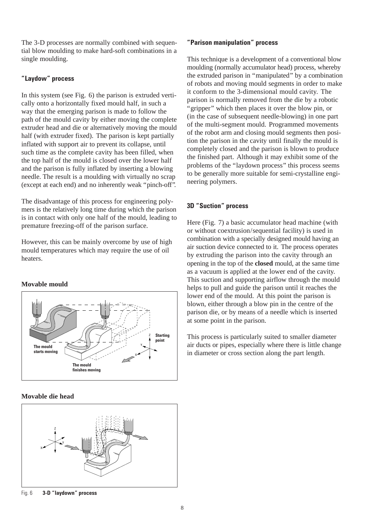The 3-D processes are normally combined with sequential blow moulding to make hard-soft combinations in a single moulding.

## **"Laydow" process**

In this system (see Fig. 6) the parison is extruded vertically onto a horizontally fixed mould half, in such a way that the emerging parison is made to follow the path of the mould cavity by either moving the complete extruder head and die or alternatively moving the mould half (with extruder fixed). The parison is kept partially inflated with support air to prevent its collapse, until such time as the complete cavity has been filled, when the top half of the mould is closed over the lower half and the parison is fully inflated by inserting a blowing needle. The result is a moulding with virtually no scrap (except at each end) and no inherently weak "pinch-off".

The disadvantage of this process for engineering polymers is the relatively long time during which the parison is in contact with only one half of the mould, leading to premature freezing-off of the parison surface.

However, this can be mainly overcome by use of high mould temperatures which may require the use of oil heaters.

## **Movable mould**



## **Movable die head**



Fig. 6 **3-D "laydown" process**

## **"Parison manipulation" process**

This technique is a development of a conventional blow moulding (normally accumulator head) process, whereby the extruded parison in "manipulated" by a combination of robots and moving mould segments in order to make it conform to the 3-dimensional mould cavity. The parison is normally removed from the die by a robotic "gripper" which then places it over the blow pin, or (in the case of subsequent needle-blowing) in one part of the multi-segment mould. Programmed movements of the robot arm and closing mould segments then position the parison in the cavity until finally the mould is completely closed and the parison is blown to produce the finished part. Although it may exhibit some of the problems of the "laydown process" this process seems to be generally more suitable for semi-crystalline engineering polymers.

## **3D "Suction" process**

Here (Fig. 7) a basic accumulator head machine (with or without coextrusion/sequential facility) is used in combination with a specially designed mould having an air suction device connected to it. The process operates by extruding the parison into the cavity through an opening in the top of the **closed** mould, at the same time as a vacuum is applied at the lower end of the cavity. This suction and supporting airflow through the mould helps to pull and guide the parison until it reaches the lower end of the mould. At this point the parison is blown, either through a blow pin in the centre of the parison die, or by means of a needle which is inserted at some point in the parison.

This process is particularly suited to smaller diameter air ducts or pipes, especially where there is little change in diameter or cross section along the part length.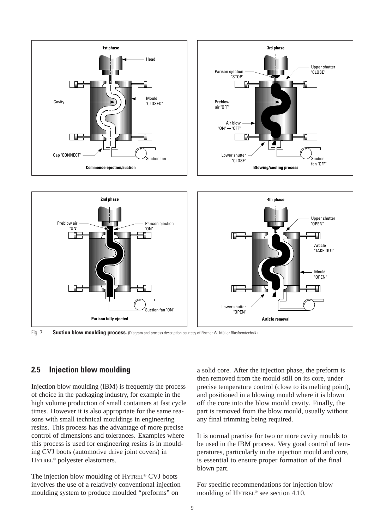

Fig. 7 **Suction blow moulding process.** (Diagram and process description courtesy of Fischer W. Müller Blasformtechnik)

# **2.5 Injection blow moulding**

Injection blow moulding (IBM) is frequently the process of choice in the packaging industry, for example in the high volume production of small containers at fast cycle times. However it is also appropriate for the same reasons with small technical mouldings in engineering resins. This process has the advantage of more precise control of dimensions and tolerances. Examples where this process is used for engineering resins is in moulding CVJ boots (automotive drive joint covers) in HYTREL® polyester elastomers.

The injection blow moulding of HYTREL® CVJ boots involves the use of a relatively conventional injection moulding system to produce moulded "preforms" on

a solid core. After the injection phase, the preform is then removed from the mould still on its core, under precise temperature control (close to its melting point), and positioned in a blowing mould where it is blown off the core into the blow mould cavity. Finally, the part is removed from the blow mould, usually without any final trimming being required.

It is normal practise for two or more cavity moulds to be used in the IBM process. Very good control of temperatures, particularly in the injection mould and core, is essential to ensure proper formation of the final blown part.

For specific recommendations for injection blow moulding of HYTREL® see section 4.10.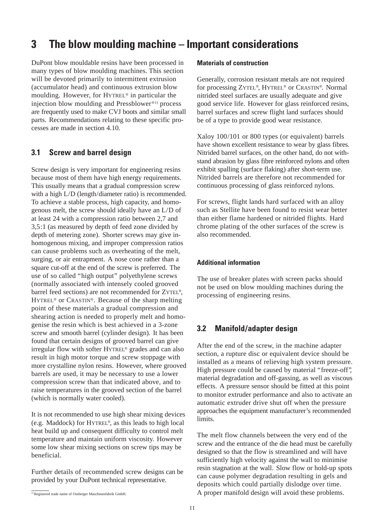# **3 The blow moulding machine – Important considerations**

DuPont blow mouldable resins have been processed in many types of blow moulding machines. This section will be devoted primarily to intermittent extrusion (accumulator head) and continuous extrusion blow moulding. However, for HYTREL® in particular the injection blow moulding and Pressblower®1) process are frequently used to make CVJ boots and similar small parts. Recommendations relating to these specific processes are made in section 4.10.

# **3.1 Screw and barrel design**

Screw design is very important for engineering resins because most of them have high energy requirements. This usually means that a gradual compression screw with a high L/D (length/diameter ratio) is recommended. To achieve a stable process, high capacity, and homogenous melt, the screw should ideally have an L/D of at least 24 with a compression ratio between 2,7 and 3,5:1 (as measured by depth of feed zone divided by depth of metering zone). Shorter screws may give inhomogenous mixing, and improper compression ratios can cause problems such as overheating of the melt, surging, or air entrapment. A nose cone rather than a square cut-off at the end of the screw is preferred. The use of so called "high output" polyethylene screws (normally associated with intensely cooled grooved barrel feed sections) are not recommended for ZYTEL®, HYTREL® or CRASTIN®. Because of the sharp melting point of these materials a gradual compression and shearing action is needed to properly melt and homogenise the resin which is best achieved in a 3-zone screw and smooth barrel (cylinder design). It has been found that certain designs of grooved barrel can give irregular flow with softer HYTREL® grades and can also result in high motor torque and screw stoppage with more crystalline nylon resins. However, where grooved barrels are used, it may be necessary to use a lower compression screw than that indicated above, and to raise temperatures in the grooved section of the barrel (which is normally water cooled).

It is not recommended to use high shear mixing devices (e.g. Maddock) for HYTREL®, as this leads to high local heat build up and consequent difficulty to control melt temperature and maintain uniform viscosity. However some low shear mixing sections on screw tips may be beneficial.

Further details of recommended screw designs can be provided by your DuPont technical representative.

## **Materials of construction**

Generally, corrosion resistant metals are not required for processing ZYTEL®, HYTREL® or CRASTIN®. Normal nitrided steel surfaces are usually adequate and give good service life. However for glass reinforced resins, barrel surfaces and screw flight land surfaces should be of a type to provide good wear resistance.

Xaloy 100/101 or 800 types (or equivalent) barrels have shown excellent resistance to wear by glass fibres. Nitrided barrel surfaces, on the other hand, do not withstand abrasion by glass fibre reinforced nylons and often exhibit spalling (surface flaking) after short-term use. Nitrided barrels are therefore not recommended for continuous processing of glass reinforced nylons.

For screws, flight lands hard surfaced with an alloy such as Stellite have been found to resist wear better than either flame hardened or nitrided flights. Hard chrome plating of the other surfaces of the screw is also recommended.

## **Additional information**

The use of breaker plates with screen packs should not be used on blow moulding machines during the processing of engineering resins.

# **3.2 Manifold/adapter design**

After the end of the screw, in the machine adapter section, a rupture disc or equivalent device should be installed as a means of relieving high system pressure. High pressure could be caused by material "freeze-off", material degradation and off-gassing, as well as viscous effects. A pressure sensor should be fitted at this point to monitor extruder performance and also to activate an automatic extruder drive shut off when the pressure approaches the equipment manufacturer's recommended limits.

The melt flow channels between the very end of the screw and the entrance of the die head must be carefully designed so that the flow is streamlined and will have sufficiently high velocity against the wall to minimise resin stagnation at the wall. Slow flow or hold-up spots can cause polymer degradation resulting in gels and deposits which could partially dislodge over time. A proper manifold design will avoid these problems.

<sup>&</sup>lt;sup>1)</sup> Registered trade name of Ossberger Maschinenfabrik GmbH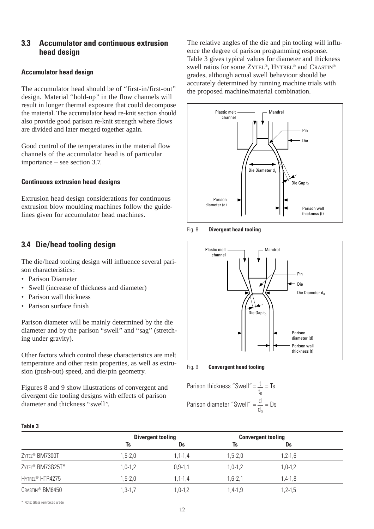## **3.3 Accumulator and continuous extrusion head design**

## **Accumulator head design**

The accumulator head should be of "first-in/first-out" design. Material "hold-up" in the flow channels will result in longer thermal exposure that could decompose the material. The accumulator head re-knit section should also provide good parison re-knit strength where flows are divided and later merged together again.

Good control of the temperatures in the material flow channels of the accumulator head is of particular importance – see section 3.7.

## **Continuous extrusion head designs**

Extrusion head design considerations for continuous extrusion blow moulding machines follow the guidelines given for accumulator head machines.

# **3.4 Die/head tooling design**

The die/head tooling design will influence several parison characteristics:

- Parison Diameter
- Swell (increase of thickness and diameter)
- Parison wall thickness
- Parison surface finish

Parison diameter will be mainly determined by the die diameter and by the parison "swell" and "sag" (stretching under gravity).

Other factors which control these characteristics are melt temperature and other resin properties, as well as extrusion (push-out) speed, and die/pin geometry.

Figures 8 and 9 show illustrations of convergent and divergent die tooling designs with effects of parison diameter and thickness "swell".

The relative angles of the die and pin tooling will influence the degree of parison programming response. Table 3 gives typical values for diameter and thickness swell ratios for some ZYTEL®, HYTREL® and CRASTIN® grades, although actual swell behaviour should be accurately determined by running machine trials with the proposed machine/material combination.



Fig. 8 **Divergent head tooling**



Fig. 9 **Convergent head tooling**

| Parison thickness "Swell" = $\frac{t}{s}$ = Ts  |  |  |
|-------------------------------------------------|--|--|
| Parison diameter "Swell" = $\frac{d}{d_0}$ = Ds |  |  |

|                              |             | <b>Divergent tooling</b> |             | <b>Convergent tooling</b> |  |  |
|------------------------------|-------------|--------------------------|-------------|---------------------------|--|--|
|                              | Ts          | Ds                       | Ts          | Ds                        |  |  |
| ZYTEL <sup>®</sup> BM7300T   | $1,5-2,0$   | $1,1 - 1,4$              | $1,5 - 2,0$ | $1,2-1,6$                 |  |  |
| ZYTEL <sup>®</sup> BM73G25T* | $1,0-1,2$   | $0.9 - 1.1$              | $1,0-1,2$   | $1.0 - 1.2$               |  |  |
| HYTREL <sup>®</sup> HTR4275  | $1,5 - 2,0$ | $1,1-1,4$                | $1.6 - 2.1$ | $1,4-1,8$                 |  |  |
| CRASTIN <sup>®</sup> BM6450  | $1,3-1,7$   | $1.0 - 1.2$              | $1.4 - 1.9$ | $1.2 - 1.5$               |  |  |
|                              |             |                          |             |                           |  |  |

\* Note: Glass reinforced grade

**Table 3**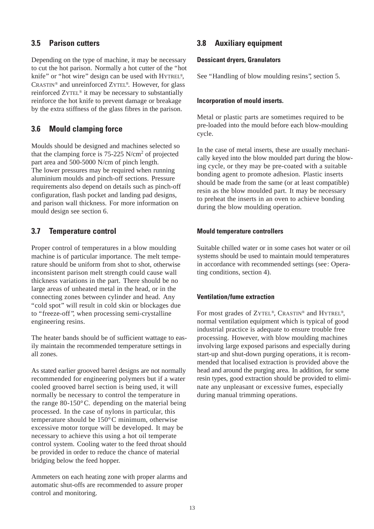## **3.5 Parison cutters**

Depending on the type of machine, it may be necessary to cut the hot parison. Normally a hot cutter of the "hot knife" or "hot wire" design can be used with HYTREL®, CRASTIN® and unreinforced ZYTEL®. However, for glass reinforced ZYTEL® it may be necessary to substantially reinforce the hot knife to prevent damage or breakage by the extra stiffness of the glass fibres in the parison.

# **3.6 Mould clamping force**

Moulds should be designed and machines selected so that the clamping force is 75-225 N/cm2 of projected part area and 500-5000 N/cm of pinch length. The lower pressures may be required when running aluminium moulds and pinch-off sections. Pressure requirements also depend on details such as pinch-off configuration, flash pocket and landing pad designs, and parison wall thickness. For more information on mould design see section 6.

# **3.7 Temperature control**

Proper control of temperatures in a blow moulding machine is of particular importance. The melt temperature should be uniform from shot to shot, otherwise inconsistent parison melt strength could cause wall thickness variations in the part. There should be no large areas of unheated metal in the head, or in the connecting zones between cylinder and head. Any "cold spot" will result in cold skin or blockages due to "freeze-off ", when processing semi-crystalline engineering resins.

The heater bands should be of sufficient wattage to easily maintain the recommended temperature settings in all zones.

As stated earlier grooved barrel designs are not normally recommended for engineering polymers but if a water cooled grooved barrel section is being used, it will normally be necessary to control the temperature in the range 80-150°C. depending on the material being processed. In the case of nylons in particular, this temperature should be 150°C minimum, otherwise excessive motor torque will be developed. It may be necessary to achieve this using a hot oil temperate control system. Cooling water to the feed throat should be provided in order to reduce the chance of material bridging below the feed hopper.

Ammeters on each heating zone with proper alarms and automatic shut-offs are recommended to assure proper control and monitoring.

# **3.8 Auxiliary equipment**

## **Dessicant dryers, Granulators**

See "Handling of blow moulding resins", section 5.

## **Incorporation of mould inserts.**

Metal or plastic parts are sometimes required to be pre-loaded into the mould before each blow-moulding cycle.

In the case of metal inserts, these are usually mechanically keyed into the blow moulded part during the blowing cycle, or they may be pre-coated with a suitable bonding agent to promote adhesion. Plastic inserts should be made from the same (or at least compatible) resin as the blow moulded part. It may be necessary to preheat the inserts in an oven to achieve bonding during the blow moulding operation.

## **Mould temperature controllers**

Suitable chilled water or in some cases hot water or oil systems should be used to maintain mould temperatures in accordance with recommended settings (see: Operating conditions, section 4).

## **Ventilation/fume extraction**

For most grades of ZYTEL®, CRASTIN® and HYTREL®, normal ventilation equipment which is typical of good industrial practice is adequate to ensure trouble free processing. However, with blow moulding machines involving large exposed parisons and especially during start-up and shut-down purging operations, it is recommended that localised extraction is provided above the head and around the purging area. In addition, for some resin types, good extraction should be provided to eliminate any unpleasant or excessive fumes, especially during manual trimming operations.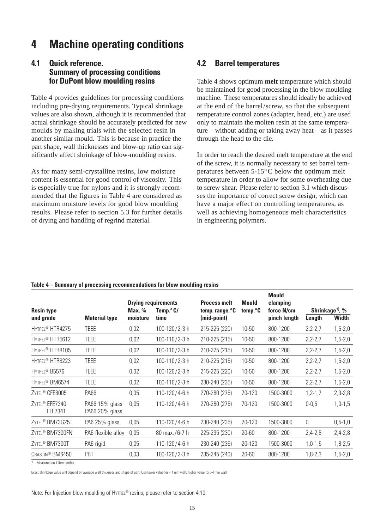# **4 Machine operating conditions**

# **4.1 Quick reference. Summary of processing conditions for DuPont blow moulding resins**

Table 4 provides guidelines for processing conditions including pre-drying requirements. Typical shrinkage values are also shown, although it is recommended that actual shrinkage should be accurately predicted for new moulds by making trials with the selected resin in another similar mould. This is because in practice the part shape, wall thicknesses and blow-up ratio can significantly affect shrinkage of blow-moulding resins.

As for many semi-crystalline resins, low moisture content is essential for good control of viscosity. This is especially true for nylons and it is strongly recommended that the figures in Table 4 are considered as maximum moisture levels for good blow moulding results. Please refer to section 5.3 for further details of drying and handling of regrind material.

# **4.2 Barrel temperatures**

Table 4 shows optimum **melt** temperature which should be maintained for good processing in the blow moulding machine. These temperatures should ideally be achieved at the end of the barrel/screw, so that the subsequent temperature control zones (adapter, head, etc.) are used only to maintain the molten resin at the same temperature – without adding or taking away heat – as it passes through the head to the die.

In order to reach the desired melt temperature at the end of the screw, it is normally necessary to set barrel temperatures between 5-15°C below the optimum melt temperature in order to allow for some overheating due to screw shear. Please refer to section 3.1 which discusses the importance of correct screw design, which can have a major effect on controlling temperatures, as well as achieving homogeneous melt characteristics in engineering polymers.

|  |  | Table 4 – Summary of processing recommendations for blow moulding resins |
|--|--|--------------------------------------------------------------------------|
|  |  |                                                                          |

|                                  |                              |                                   |                                                     |                                                     | <b>Mould</b>          |                                      |                                             |
|----------------------------------|------------------------------|-----------------------------------|-----------------------------------------------------|-----------------------------------------------------|-----------------------|--------------------------------------|---------------------------------------------|
|                                  | Max. %                       | Temp. $\degree$ C/                | temp. range, °C                                     | temp. <sup>o</sup> C                                | force N/cm            |                                      | Shrinkage <sup>1)</sup> , %<br><b>Width</b> |
|                                  |                              |                                   |                                                     |                                                     |                       |                                      |                                             |
|                                  |                              |                                   |                                                     |                                                     |                       |                                      | $1,5-2,0$                                   |
| <b>TEEE</b>                      | 0,02                         | 100-110/2-3 h                     | 210-225 (215)                                       | 10-50                                               | 800-1200              | $2,2-2,7$                            | $1,5-2,0$                                   |
| <b>TEEE</b>                      | 0,02                         | 100-110/2-3 h                     | 210-225 (215)                                       | 10-50                                               | 800-1200              | $2,2-2,7$                            | $1,5-2,0$                                   |
| TEEE                             | 0,02                         | 100-110/2-3 h                     | 210-225 (215)                                       | 10-50                                               | 800-1200              | $2,2-2,7$                            | $1,5-2,0$                                   |
| TEEE                             | 0,02                         | 100-120/2-3 h                     | 215-225 (220)                                       | 10-50                                               | 800-1200              | $2,2-2,7$                            | $1,5-2,0$                                   |
| <b>TEEE</b>                      | 0,02                         | 100-110/2-3 h                     | 230-240 (235)                                       | 10-50                                               | 800-1200              | $2,2-2,7$                            | $1,5-2,0$                                   |
| <b>PA66</b>                      | 0,05                         | 110-120/4-6 h                     | 270-280 (275)                                       | 70-120                                              | 1500-3000             | $1, 2 - 1, 7$                        | $2,3-2,8$                                   |
| PA66 15% glass<br>PA66 20% glass | 0,05                         | 110-120/4-6 h                     | 270-280 (275)                                       | 70-120                                              | 1500-3000             | $0 - 0.5$                            | $1,0-1,5$                                   |
| PA6 25% glass                    | 0,05                         | 110-120/4-6 h                     | 230-240 (235)                                       | 20-120                                              | 1500-3000             | 0                                    | $0, 5 - 1, 0$                               |
| PA6 flexible alloy               | 0,05                         | $80 \text{ max.}/6 - 7 \text{ h}$ | 225-235 (230)                                       | 20-60                                               | 800-1200              | $2,4-2,8$                            | $2,4-2,8$                                   |
| PA6 rigid                        | 0,05                         | 110-120/4-6 h                     | 230-240 (235)                                       | 20-120                                              | 1500-3000             | $1,0-1,5$                            | $1,8-2,5$                                   |
| PBT                              | 0,03                         | 100-120/2-3 h                     | 235-245 (240)                                       | $20 - 60$                                           | 800-1200              | $1,8-2,3$                            | $1,5-2,0$                                   |
|                                  | <b>Material type</b><br>TEEE | moisture<br>0,02                  | <b>Drying requirements</b><br>time<br>100-120/2-3 h | <b>Process melt</b><br>(mid-point)<br>215-225 (220) | <b>Mould</b><br>10-50 | clamping<br>pinch length<br>800-1200 | Length<br>$2,2-2,7$                         |

1) Measured on 1 litre bottles.

Exact shrinkage value will depend on average wall thickness and shape of part. Use lower value for ~ 1 mm wall, higher value for >4 mm wall.

Note: For Injection blow moulding of HYTREL® resins, please refer to section 4.10.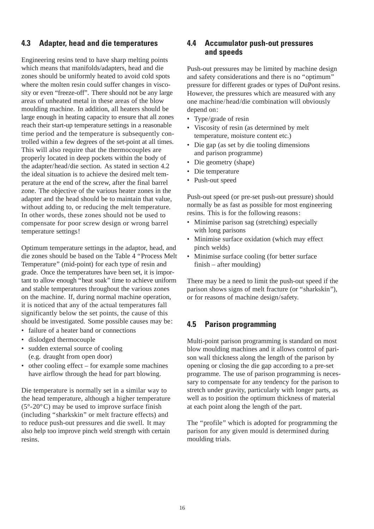# **4.3 Adapter, head and die temperatures**

Engineering resins tend to have sharp melting points which means that manifolds/adapters, head and die zones should be uniformly heated to avoid cold spots where the molten resin could suffer changes in viscosity or even "freeze-off". There should not be any large areas of unheated metal in these areas of the blow moulding machine. In addition, all heaters should be large enough in heating capacity to ensure that all zones reach their start-up temperature settings in a reasonable time period and the temperature is subsequently controlled within a few degrees of the set-point at all times. This will also require that the thermocouples are properly located in deep pockets within the body of the adapter/head/die section. As stated in section 4.2 the ideal situation is to achieve the desired melt temperature at the end of the screw, after the final barrel zone. The objective of the various heater zones in the adapter and the head should be to maintain that value, without adding to, or reducing the melt temperature. In other words, these zones should not be used to compensate for poor screw design or wrong barrel temperature settings!

Optimum temperature settings in the adaptor, head, and die zones should be based on the Table 4 "Process Melt Temperature" (mid-point) for each type of resin and grade. Once the temperatures have been set, it is important to allow enough "heat soak" time to achieve uniform and stable temperatures throughout the various zones on the machine. If, during normal machine operation, it is noticed that any of the actual temperatures fall significantly below the set points, the cause of this should be investigated. Some possible causes may be:

- failure of a heater band or connections
- dislodged thermocouple
- sudden external source of cooling (e.g. draught from open door)
- other cooling effect for example some machines have airflow through the head for part blowing.

Die temperature is normally set in a similar way to the head temperature, although a higher temperature  $(5^{\circ}$ -20 $^{\circ}$ C) may be used to improve surface finish (including "sharkskin" or melt fracture effects) and to reduce push-out pressures and die swell. It may also help too improve pinch weld strength with certain resins.

## **4.4 Accumulator push-out pressures and speeds**

Push-out pressures may be limited by machine design and safety considerations and there is no "optimum" pressure for different grades or types of DuPont resins. However, the pressures which are measured with any one machine/head/die combination will obviously depend on:

- Type/grade of resin
- Viscosity of resin (as determined by melt temperature, moisture content etc.)
- Die gap (as set by die tooling dimensions and parison programme)
- Die geometry (shape)
- Die temperature
- Push-out speed

Push-out speed (or pre-set push-out pressure) should normally be as fast as possible for most engineering resins. This is for the following reasons:

- Minimise parison sag (stretching) especially with long parisons
- Minimise surface oxidation (which may effect pinch welds)
- Minimise surface cooling (for better surface finish – after moulding)

There may be a need to limit the push-out speed if the parison shows signs of melt fracture (or "sharkskin"), or for reasons of machine design/safety.

## **4.5 Parison programming**

Multi-point parison programming is standard on most blow moulding machines and it allows control of parison wall thickness along the length of the parison by opening or closing the die gap according to a pre-set programme. The use of parison programming is necessary to compensate for any tendency for the parison to stretch under gravity, particularly with longer parts, as well as to position the optimum thickness of material at each point along the length of the part.

The "profile" which is adopted for programming the parison for any given mould is determined during moulding trials.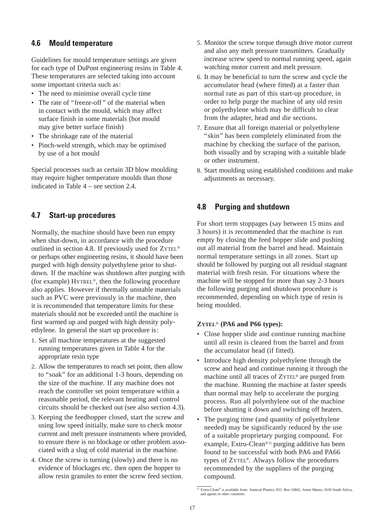## **4.6 Mould temperature**

Guidelines for mould temperature settings are given for each type of DuPont engineering resins in Table 4. These temperatures are selected taking into account some important criteria such as:

- The need to minimise overall cycle time
- The rate of "freeze-off " of the material when in contact with the mould, which may affect surface finish in some materials (hot mould may give better surface finish)
- The shrinkage rate of the material
- Pinch-weld strength, which may be optimised by use of a hot mould

Special processes such as certain 3D blow moulding may require higher temperature moulds than those indicated in Table 4 – see section 2.4.

# **4.7 Start-up procedures**

Normally, the machine should have been run empty when shut-down, in accordance with the procedure outlined in section 4.8. If previously used for ZYTEL<sup>®</sup> or perhaps other engineering resins, it should have been purged with high density polyethylene prior to shutdown. If the machine was shutdown after purging with (for example) HYTREL®, then the following procedure also applies. However if thermally unstable materials such as PVC were previously in the machine, then it is recommended that temperature limits for these materials should not be exceeded until the machine is first warmed up and purged with high density polyethylene. In general the start up procedure is:

- 1. Set all machine temperatures at the suggested running temperatures given in Table 4 for the appropriate resin type
- 2. Allow the temperatures to reach set point, then allow to "soak" for an additional 1-3 hours, depending on the size of the machine. If any machine does not reach the controller set point temperature within a reasonable period, the relevant heating and control circuits should be checked out (see also section 4.3).
- 3. Keeping the feedhopper closed, start the screw and using low speed initially, make sure to check motor current and melt pressure instruments where provided, to ensure there is no blockage or other problem associated with a slug of cold material in the machine.
- 4. Once the screw is turning (slowly) and there is no evidence of blockages etc. then open the hopper to allow resin granules to enter the screw feed section.
- 5. Monitor the screw torque through drive motor current and also any melt pressure transmitters. Gradually increase screw speed to normal running speed, again watching motor current and melt pressure.
- 6. It may be beneficial to turn the screw and cycle the accumulator head (where fitted) at a faster than normal rate as part of this start-up procedure, in order to help purge the machine of any old resin or polyethylene which may be difficult to clear from the adapter, head and die sections.
- 7. Ensure that all foreign material or polyethylene "skin" has been completely eliminated from the machine by checking the surface of the parison, both visually and by scraping with a suitable blade or other instrument.
- 8. Start moulding using established conditions and make adjustments as necessary.

# **4.8 Purging and shutdown**

For short term stoppages (say between 15 mins and 3 hours) it is recommended that the machine is run empty by closing the feed hopper slide and pushing out all material from the barrel and head. Maintain normal temperature settings in all zones. Start up should be followed by purging out all residual stagnant material with fresh resin. For situations where the machine will be stopped for more than say 2-3 hours the following purging and shutdown procedure is recommended, depending on which type of resin is being moulded.

## **ZYTEL**® **(PA6 and P66 types):**

- Close hopper slide and continue running machine until all resin is cleared from the barrel and from the accumulator head (if fitted).
- Introduce high density polyethylene through the screw and head and continue running it through the machine until all traces of ZYTEL® are purged from the machine. Running the machine at faster speeds than normal may help to accelerate the purging process. Run all polyethylene out of the machine before shutting it down and switching off heaters.
- The purging time (and quantity of polyethylene needed) may be significantly reduced by the use of a suitable proprietary purging compound. For example, Extru-Clean®1) purging additive has been found to be successful with both PA6 and PA66 types of ZYTEL®. Always follow the procedures recommended by the suppliers of the purging compound.

 $\overline{11}$  Extru-Clean® is available from: Annecat Plastics, P.O. Box 10841, Aston Manor, 1630 South Africa, and agents in other countries.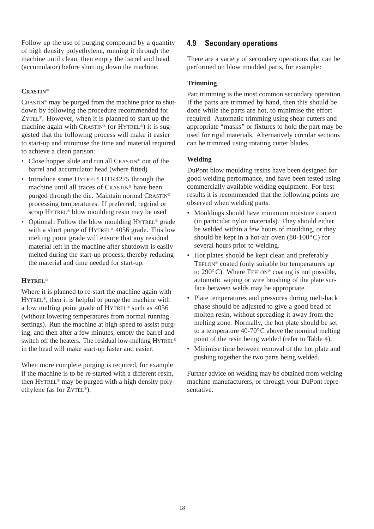Follow up the use of purging compound by a quantity of high density polyethylene, running it through the machine until clean, then empty the barrel and head (accumulator) before shutting down the machine.

## **CRASTIN®**

CRASTIN® may be purged from the machine prior to shutdown by following the procedure recommended for ZYTEL®. However, when it is planned to start up the machine again with CRASTIN® (or HYTREL®) it is suggested that the following process will make it easier to start-up and minimise the time and material required to achieve a clean parison:

- Close hopper slide and run all CRASTIN<sup>®</sup> out of the barrel and accumulator head (where fitted)
- Introduce some HYTREL® HTR4275 through the machine until all traces of CRASTIN® have been purged through the die. Maintain normal CRASTIN® processing temperatures. If preferred, regrind or scrap HYTREL® blow moulding resin may be used
- Optional: Follow the blow moulding HYTREL<sup>®</sup> grade with a short purge of HYTREL® 4056 grade. This low melting point grade will ensure that any residual material left in the machine after shutdown is easily melted during the start-up process, thereby reducing the material and time needed for start-up.

## **HYTREL**®

Where it is planned to re-start the machine again with HYTREL®, then it is helpful to purge the machine with a low melting point grade of HYTREL® such as 4056 (without lowering temperatures from normal running settings). Run the machine at high speed to assist purging, and then after a few minutes, empty the barrel and switch off the heaters. The residual low-melting HYTREL® in the head will make start-up faster and easier.

When more complete purging is required, for example if the machine is to be re-started with a different resin, then HYTREL® may be purged with a high density polyethylene (as for ZYTEL®).

# **4.9 Secondary operations**

There are a variety of secondary operations that can be performed on blow moulded parts, for example:

## **Trimming**

Part trimming is the most common secondary operation. If the parts are trimmed by hand, then this should be done while the parts are hot, to minimise the effort required. Automatic trimming using shear cutters and appropriate "masks" or fixtures to hold the part may be used for rigid materials. Alternatively circular sections can be trimmed using rotating cutter blades.

## **Welding**

DuPont blow moulding resins have been designed for good welding performance, and have been tested using commercially available welding equipment. For best results it is recommended that the following points are observed when welding parts:

- Mouldings should have minimum moisture content (in particular nylon materials). They should either be welded within a few hours of moulding, or they should be kept in a hot-air oven (80-100°C) for several hours prior to welding.
- Hot plates should be kept clean and preferably TEFLON® coated (only suitable for temperatures up to  $290^{\circ}$ C). Where TEFLON<sup>®</sup> coating is not possible, automatic wiping or wire brushing of the plate surface between welds may be appropriate.
- Plate temperatures and pressures during melt-back phase should be adjusted to give a good bead of molten resin, without spreading it away from the melting zone. Normally, the hot plate should be set to a temperature 40-70°C above the nominal melting point of the resin being welded (refer to Table 4).
- Minimise time between removal of the hot plate and pushing together the two parts being welded.

Further advice on welding may be obtained from welding machine manufacturers, or through your DuPont representative.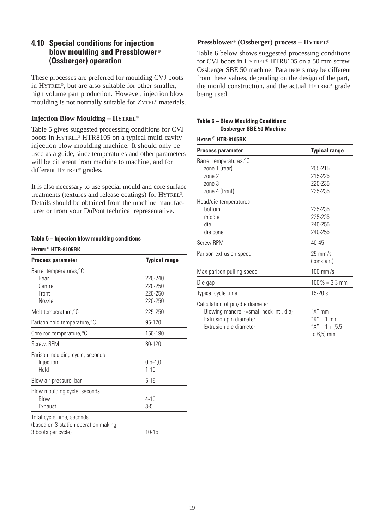## **4.10 Special conditions for injection blow moulding and Pressblower**® **(Ossberger) operation**

These processes are preferred for moulding CVJ boots in HYTREL®, but are also suitable for other smaller, high volume part production. However, injection blow moulding is not normally suitable for ZYTEL® materials.

## **Injection Blow Moulding – HYTREL**®

Table 5 gives suggested processing conditions for CVJ boots in HYTREL® HTR8105 on a typical multi cavity injection blow moulding machine. It should only be used as a guide, since temperatures and other parameters will be different from machine to machine, and for different HYTREL® grades.

It is also necessary to use special mould and core surface treatments (textures and release coatings) for HYTREL®. Details should be obtained from the machine manufacturer or from your DuPont technical representative.

## **Table 5 – Injection blow moulding conditions**

| HYTREL <sup>®</sup> HTR-8105BK       |                      |
|--------------------------------------|----------------------|
| <b>Process parameter</b>             | <b>Typical range</b> |
| Barrel temperatures, °C              |                      |
| Rear                                 | 220-240              |
| Centre                               | 220-250              |
| Front                                | 220-250              |
| Nozzle                               | 220-250              |
| Melt temperature, °C                 | 225-250              |
| Parison hold temperature, °C         | 95-170               |
| Core rod temperature, °C             | 150-190              |
| Screw, RPM                           | 80-120               |
| Parison moulding cycle, seconds      |                      |
| Injection                            | $0,5 - 4,0$          |
| Hold                                 | $1 - 10$             |
| Blow air pressure, bar               | 5-15                 |
| Blow moulding cycle, seconds         |                      |
| <b>Blow</b>                          | $4 - 10$             |
| Exhaust                              | $3-5$                |
| Total cycle time, seconds            |                      |
| (based on 3-station operation making |                      |
| 3 boots per cycle)                   | $10 - 15$            |

## **Pressblower**® **(Ossberger) process – HYTREL®**

Table 6 below shows suggested processing conditions for CVJ boots in HYTREL® HTR8105 on a 50 mm screw Ossberger SBE 50 machine. Parameters may be different from these values, depending on the design of the part, the mould construction, and the actual HYTREL® grade being used.

### **Table 6 – Blow Moulding Conditions: Ossberger SBE 50 Machine**

| HYTREL <sup>®</sup> HTR-8105BK          |                                 |
|-----------------------------------------|---------------------------------|
| <b>Process parameter</b>                | <b>Typical range</b>            |
| Barrel temperatures, °C                 |                                 |
| zone 1 (rear)                           | 205-215                         |
| $70ne$ 2                                | 215-225                         |
| zone <sub>3</sub>                       | 225-235                         |
| zone 4 (front)                          | 225-235                         |
| Head/die temperatures                   |                                 |
| bottom                                  | 225-235                         |
| middle                                  | 225-235                         |
| die                                     | 240-255                         |
| die cone                                | 240-255                         |
| <b>Screw RPM</b>                        | 40-45                           |
| Parison extrusion speed                 | $25 \text{ mm/s}$<br>(constant) |
|                                         |                                 |
| Max parison pulling speed               | $100$ mm/s                      |
| Die gap                                 | $100\% = 3.3$ mm                |
| Typical cycle time                      | 15-20 s                         |
| Calculation of pin/die diameter         |                                 |
| Blowing mandrel (=small neck int., dia) | " $X$ " mm                      |
| Extrusion pin diameter                  | $''X'' + 1$ mm                  |
| Extrusion die diameter                  | $''X'' + 1 + 15.5$              |
|                                         | to 6,5) mm                      |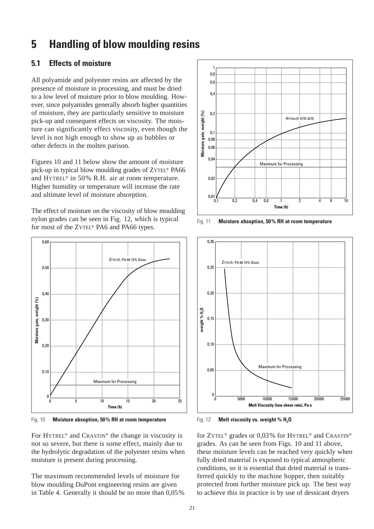# **5 Handling of blow moulding resins**

# **5.1 Effects of moisture**

All polyamide and polyester resins are affected by the presence of moisture in processing, and must be dried to a low level of moisture prior to blow moulding. However, since polyamides generally absorb higher quantities of moisture, they are particularly sensitive to moisture pick-up and consequent effects on viscosity. The moisture can significantly effect viscosity, even though the level is not high enough to show up as bubbles or other defects in the molten parison.

Figures 10 and 11 below show the amount of moisture pick-up in typical blow moulding grades of ZYTEL® PA66 and HYTREL® in 50% R.H. air at room temperature. Higher humidity or temperature will increase the rate and ultimate level of moisture absorption.

The effect of moisture on the viscosity of blow moulding nylon grades can be seen in Fig. 12, which is typical for most of the ZYTEL® PA6 and PA66 types.



Fig. 10 **Moisture absoption, 50% RH at room temperature**

For HYTREL® and CRASTIN® the change in viscosity is not so severe, but there is some effect, mainly due to the hydrolytic degradation of the polyester resins when moisture is present during processing.

The maximum recommended levels of moisture for blow moulding DuPont engineering resins are given in Table 4. Generally it should be no more than 0,05%



Fig. 11 **Moisture absoption, 50% RH at room temperature**



Fig. 12 **Melt viscosity vs. weight % H<sub>2</sub>O** 

for ZYTEL® grades or 0,03% for HYTREL® and CRASTIN® grades. As can be seen from Figs. 10 and 11 above, these moisture levels can be reached very quickly when fully dried material is exposed to typical atmospheric conditions, so it is essential that dried material is transferred quickly to the machine hopper, then suitably protected from further moisture pick up. The best way to achieve this in practice is by use of dessicant dryers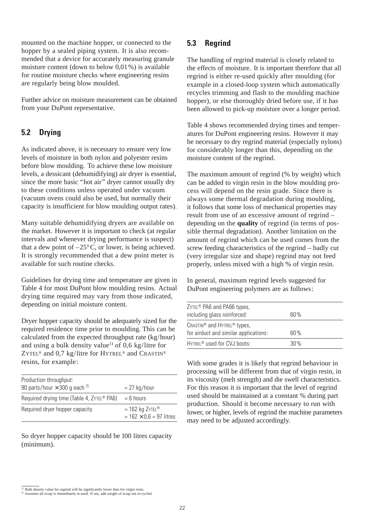mounted on the machine hopper, or connected to the hopper by a sealed piping system. It is also recommended that a device for accurately measuring granule moisture content (down to below 0,01%) is available for routine moisture checks where engineering resins are regularly being blow moulded.

Further advice on moisture measurement can be obtained from your DuPont representative.

# **5.2 Drying**

As indicated above, it is necessary to ensure very low levels of moisture in both nylon and polyester resins before blow moulding. To achieve these low moisture levels, a dessicant (dehumidifying) air dryer is essential, since the more basic "hot air" dryer cannot usually dry to these conditions unless operated under vacuum (vacuum ovens could also be used, but normally their capacity is insufficient for blow moulding output rates).

Many suitable dehumidifying dryers are available on the market. However it is important to check (at regular intervals and whenever drying performance is suspect) that a dew point of  $-25^{\circ}$ C, or lower, is being achieved. It is strongly recommended that a dew point meter is available for such routine checks.

Guidelines for drying time and temperature are given in Table 4 for most DuPont blow moulding resins. Actual drying time required may vary from those indicated, depending on initial moisture content.

Dryer hopper capacity should be adequately sized for the required residence time prior to moulding. This can be calculated from the expected throughput rate (kg/hour) and using a bulk density value<sup>1)</sup> of 0,6 kg/litre for ZYTEL<sup>®</sup> and 0,7 kg/litre for HYTREL<sup>®</sup> and CRASTIN<sup>®</sup> resins, for example:

| Production throughput:                          |                                                     |
|-------------------------------------------------|-----------------------------------------------------|
| 90 parts/hour $\times$ 300 g each <sup>2)</sup> | $= 27$ kg/hour                                      |
| Required drying time (Table 4, ZYTEL® PA6)      | $= 6$ hours                                         |
| Required dryer hopper capacity                  | $= 162$ kg ZYTEL®<br>$= 162 \times 0.6 = 97$ litres |

So dryer hopper capacity should be 100 litres capacity (minimum).

# **5.3 Regrind**

The handling of regrind material is closely related to the effects of moisture. It is important therefore that all regrind is either re-used quickly after moulding (for example in a closed-loop system which automatically recycles trimming and flash to the moulding machine hopper), or else thoroughly dried before use, if it has been allowed to pick-up moisture over a longer period.

Table 4 shows recommended drying times and temperatures for DuPont engineering resins. However it may be necessary to dry regrind material (especially nylons) for considerably longer than this, depending on the moisture content of the regrind.

The maximum amount of regrind (% by weight) which can be added to virgin resin in the blow moulding process will depend on the resin grade. Since there is always some thermal degradation during moulding, it follows that some loss of mechanical properties may result from use of an excessive amount of regrind – depending on the **quality** of regrind (in terms of possible thermal degradation). Another limitation on the amount of regrind which can be used comes from the screw feeding characteristics of the regrind – badly cut (very irregular size and shape) regrind may not feed properly, unless mixed with a high % of virgin resin.

In general, maximum regrind levels suggested for DuPont engineering polymers are as follows:

| $ZYTEL^{\circledR}$ PA6 and PA66 types,<br>including glass reinforced:                       | 60 % |
|----------------------------------------------------------------------------------------------|------|
| CRASTIN <sup>®</sup> and HYTREL <sup>®</sup> types,<br>for airduct and similar applications: | 60%  |
| HYTREL <sup>®</sup> used for CVJ boots:                                                      | 30%  |

With some grades it is likely that regrind behaviour in processing will be different from that of virgin resin, in its viscosity (melt strength) and die swell characteristics. For this reason it is important that the level of regrind used should be maintained at a constant % during part production. Should it become necessary to run with lower, or higher, levels of regrind the machine parameters may need to be adjusted accordingly.

 $\overline{1)}$  Bulk density value for regrind will be significantly lower than for virgin resin.

Assumes all scrap is immediately re-used. If not, add weight of scrap not re-cycled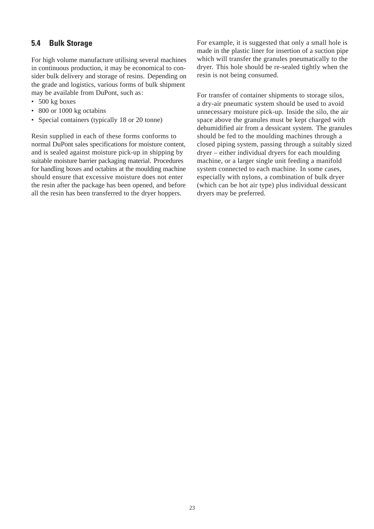# **5.4 Bulk Storage**

For high volume manufacture utilising several machines in continuous production, it may be economical to consider bulk delivery and storage of resins. Depending on the grade and logistics, various forms of bulk shipment may be available from DuPont, such as:

- 500 kg boxes
- 800 or 1000 kg octabins
- Special containers (typically 18 or 20 tonne)

Resin supplied in each of these forms conforms to normal DuPont sales specifications for moisture content, and is sealed against moisture pick-up in shipping by suitable moisture barrier packaging material. Procedures for handling boxes and octabins at the moulding machine should ensure that excessive moisture does not enter the resin after the package has been opened, and before all the resin has been transferred to the dryer hoppers.

For example, it is suggested that only a small hole is made in the plastic liner for insertion of a suction pipe which will transfer the granules pneumatically to the dryer. This hole should be re-sealed tightly when the resin is not being consumed.

For transfer of container shipments to storage silos, a dry-air pneumatic system should be used to avoid unnecessary moisture pick-up. Inside the silo, the air space above the granules must be kept charged with dehumidified air from a dessicant system. The granules should be fed to the moulding machines through a closed piping system, passing through a suitably sized dryer – either individual dryers for each moulding machine, or a larger single unit feeding a manifold system connected to each machine. In some cases, especially with nylons, a combination of bulk dryer (which can be hot air type) plus individual dessicant dryers may be preferred.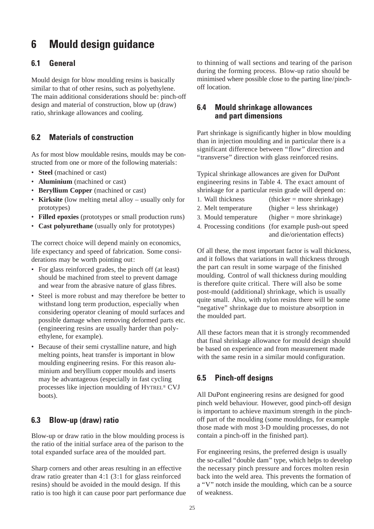# **6 Mould design guidance**

# **6.1 General**

Mould design for blow moulding resins is basically similar to that of other resins, such as polyethylene. The main additional considerations should be: pinch-off design and material of construction, blow up (draw) ratio, shrinkage allowances and cooling.

# **6.2 Materials of construction**

As for most blow mouldable resins, moulds may be constructed from one or more of the following materials:

- **Steel** (machined or cast)
- **Aluminium** (machined or cast)
- **Beryllium Copper** (machined or cast)
- **Kirksite** (low melting metal alloy usually only for prototypes)
- **Filled epoxies** (prototypes or small production runs)
- **Cast polyurethane** (usually only for prototypes)

The correct choice will depend mainly on economics, life expectancy and speed of fabrication. Some considerations may be worth pointing out:

- For glass reinforced grades, the pinch off (at least) should be machined from steel to prevent damage and wear from the abrasive nature of glass fibres.
- Steel is more robust and may therefore be better to withstand long term production, especially when considering operator cleaning of mould surfaces and possible damage when removing deformed parts etc. (engineering resins are usually harder than polyethylene, for example).
- Because of their semi crystalline nature, and high melting points, heat transfer is important in blow moulding engineering resins. For this reason aluminium and beryllium copper moulds and inserts may be advantageous (especially in fast cycling processes like injection moulding of HYTREL® CVJ boots).

# **6.3 Blow-up (draw) ratio**

Blow-up or draw ratio in the blow moulding process is the ratio of the initial surface area of the parison to the total expanded surface area of the moulded part.

Sharp corners and other areas resulting in an effective draw ratio greater than 4:1 (3:1 for glass reinforced resins) should be avoided in the mould design. If this ratio is too high it can cause poor part performance due to thinning of wall sections and tearing of the parison during the forming process. Blow-up ratio should be minimised where possible close to the parting line/pinchoff location.

## **6.4 Mould shrinkage allowances and part dimensions**

Part shrinkage is significantly higher in blow moulding than in injection moulding and in particular there is a significant difference between "flow" direction and "transverse" direction with glass reinforced resins.

Typical shrinkage allowances are given for DuPont engineering resins in Table 4. The exact amount of shrinkage for a particular resin grade will depend on:

- 1. Wall thickness (thicker = more shrinkage)
- 2. Melt temperature (higher  $=$  less shrinkage)
- 3. Mould temperature (higher  $=$  more shrinkage)
- 4. Processing conditions (for example push-out speed
	- and die/orientation effects)

Of all these, the most important factor is wall thickness, and it follows that variations in wall thickness through the part can result in some warpage of the finished moulding. Control of wall thickness during moulding is therefore quite critical. There will also be some post-mould (additional) shrinkage, which is usually quite small. Also, with nylon resins there will be some "negative" shrinkage due to moisture absorption in the moulded part.

All these factors mean that it is strongly recommended that final shrinkage allowance for mould design should be based on experience and from measurement made with the same resin in a similar mould configuration.

# **6.5 Pinch-off designs**

All DuPont engineering resins are designed for good pinch weld behaviour. However, good pinch-off design is important to achieve maximum strength in the pinchoff part of the moulding (some mouldings, for example those made with most 3-D moulding processes, do not contain a pinch-off in the finished part).

For engineering resins, the preferred design is usually the so-called "double dam" type, which helps to develop the necessary pinch pressure and forces molten resin back into the weld area. This prevents the formation of a "V" notch inside the moulding, which can be a source of weakness.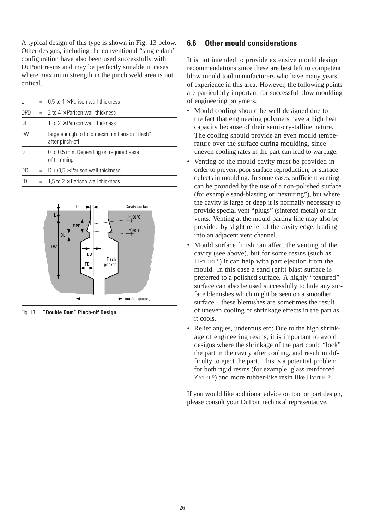A typical design of this type is shown in Fig. 13 below. Other designs, including the conventional "single dam" configuration have also been used successfully with DuPont resins and may be perfectly suitable in cases where maximum strength in the pinch weld area is not critical.

| $\mathbf{L}$ | $=$ | 0,5 to 1 $\times$ Parison wall thickness                        |
|--------------|-----|-----------------------------------------------------------------|
| <b>DPD</b>   |     | $= 2$ to $4 \times$ Parison wall thickness                      |
| DL           |     | $=$ 1 to 2 $\times$ Parison wall thickness                      |
| <b>FW</b>    | $=$ | large enough to hold maximum Parison "flash"<br>after pinch-off |
| D            | $=$ | 0 to 0,5 mm. Depending on required ease<br>of trimming          |
| DD           |     | $= D + (0.5 \times \text{Parison wall thickness})$              |
| FD           | $=$ | 1,5 to $2 \times$ Parison wall thickness                        |
|              |     |                                                                 |



Fig. 13 **"Double Dam" Pinch-off Design**

## **6.6 Other mould considerations**

It is not intended to provide extensive mould design recommendations since these are best left to competent blow mould tool manufacturers who have many years of experience in this area. However, the following points are particularly important for successful blow moulding of engineering polymers.

- Mould cooling should be well designed due to the fact that engineering polymers have a high heat capacity because of their semi-crystalline nature. The cooling should provide an even mould temperature over the surface during moulding, since uneven cooling rates in the part can lead to warpage.
- Venting of the mould cavity must be provided in order to prevent poor surface reproduction, or surface defects in moulding. In some cases, sufficient venting can be provided by the use of a non-polished surface (for example sand-blasting or "texturing"), but where the cavity is large or deep it is normally necessary to provide special vent "plugs" (sintered metal) or slit vents. Venting at the mould parting line may also be provided by slight relief of the cavity edge, leading into an adjacent vent channel.
- Mould surface finish can affect the venting of the cavity (see above), but for some resins (such as HYTREL®) it can help with part ejection from the mould. In this case a sand (grit) blast surface is preferred to a polished surface. A highly "textured" surface can also be used successfully to hide any surface blemishes which might be seen on a smoother surface – these blemishes are sometimes the result of uneven cooling or shrinkage effects in the part as it cools.
- Relief angles, undercuts etc: Due to the high shrinkage of engineering resins, it is important to avoid designs where the shrinkage of the part could "lock" the part in the cavity after cooling, and result in difficulty to eject the part. This is a potential problem for both rigid resins (for example, glass reinforced ZYTEL®) and more rubber-like resin like HYTREL®.

If you would like additional advice on tool or part design, please consult your DuPont technical representative.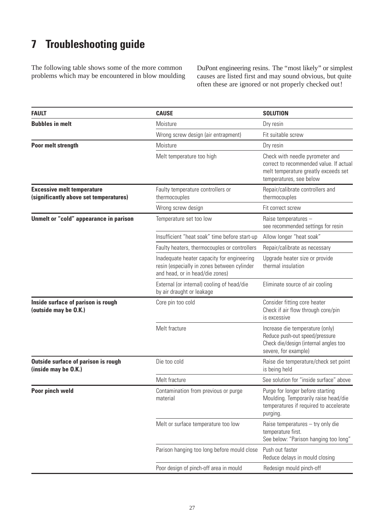# **7 Troubleshooting guide**

The following table shows some of the more common problems which may be encountered in blow moulding DuPont engineering resins. The "most likely" or simplest causes are listed first and may sound obvious, but quite often these are ignored or not properly checked out!

| <b>FAULT</b>                                                                | <b>CAUSE</b>                                                                                                                 | <b>SOLUTION</b>                                                                                                                               |
|-----------------------------------------------------------------------------|------------------------------------------------------------------------------------------------------------------------------|-----------------------------------------------------------------------------------------------------------------------------------------------|
| <b>Bubbles in melt</b>                                                      | Moisture                                                                                                                     | Dry resin                                                                                                                                     |
|                                                                             | Wrong screw design (air entrapment)                                                                                          | Fit suitable screw                                                                                                                            |
| Poor melt strength                                                          | Moisture                                                                                                                     | Dry resin                                                                                                                                     |
|                                                                             | Melt temperature too high                                                                                                    | Check with needle pyrometer and<br>correct to recommended value. If actual<br>melt temperature greatly exceeds set<br>temperatures, see below |
| <b>Excessive melt temperature</b><br>(significantly above set temperatures) | Faulty temperature controllers or<br>thermocouples                                                                           | Repair/calibrate controllers and<br>thermocouples                                                                                             |
|                                                                             | Wrong screw design                                                                                                           | Fit correct screw                                                                                                                             |
| Unmelt or "cold" appearance in parison                                      | Temperature set too low                                                                                                      | Raise temperatures -<br>see recommended settings for resin                                                                                    |
|                                                                             | Insufficient "heat soak" time before start-up                                                                                | Allow longer "heat soak"                                                                                                                      |
|                                                                             | Faulty heaters, thermocouples or controllers                                                                                 | Repair/calibrate as necessary                                                                                                                 |
|                                                                             | Inadequate heater capacity for engineering<br>resin (especially in zones between cylinder<br>and head, or in head/die zones) | Upgrade heater size or provide<br>thermal insulation                                                                                          |
|                                                                             | External (or internal) cooling of head/die<br>by air draught or leakage                                                      | Eliminate source of air cooling                                                                                                               |
| Inside surface of parison is rough<br>(outside may be O.K.)                 | Core pin too cold                                                                                                            | Consider fitting core heater<br>Check if air flow through core/pin<br>is excessive                                                            |
|                                                                             | Melt fracture                                                                                                                | Increase die temperature (only)<br>Reduce push-out speed/pressure<br>Check die/design (internal angles too<br>severe, for example)            |
| <b>Outside surface of parison is rough</b><br>(inside may be O.K.)          | Die too cold                                                                                                                 | Raise die temperature/check set point<br>is being held                                                                                        |
|                                                                             | Melt fracture                                                                                                                | See solution for "inside surface" above                                                                                                       |
| Poor pinch weld                                                             | Contamination from previous or purge<br>material                                                                             | Purge for longer before starting<br>Moulding. Temporarily raise head/die<br>temperatures if required to accelerate<br>purging.                |
|                                                                             | Melt or surface temperature too low                                                                                          | Raise temperatures - try only die<br>temperature first.<br>See below: "Parison hanging too long"                                              |
|                                                                             | Parison hanging too long before mould close                                                                                  | Push out faster<br>Reduce delays in mould closing                                                                                             |
|                                                                             | Poor design of pinch-off area in mould                                                                                       | Redesign mould pinch-off                                                                                                                      |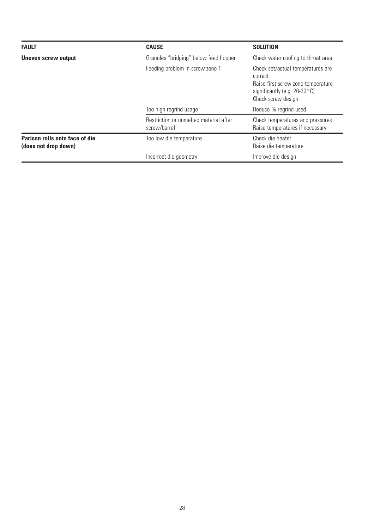| <b>FAULT</b>                                           | <b>CAUSE</b>                                           | <b>SOLUTION</b>                                                                                                                             |
|--------------------------------------------------------|--------------------------------------------------------|---------------------------------------------------------------------------------------------------------------------------------------------|
| <b>Uneven screw output</b>                             | Granules "bridging" below feed hopper                  | Check water cooling to throat area                                                                                                          |
|                                                        | Feeding problem in screw zone 1                        | Check set/actual temperatures are<br>correct<br>Raise first screw zone temperature<br>significantly (e.g. $20-30$ °C)<br>Check screw design |
|                                                        | Too high regrind usage                                 | Reduce % regrind used                                                                                                                       |
|                                                        | Restriction or unmelted material after<br>screw/barrel | Check temperatures and pressures<br>Raise temperatures if necessary                                                                         |
| Parison rolls onto face of die<br>(does not drop down) | Too low die temperature                                | Check die heater<br>Raise die temperature                                                                                                   |
|                                                        | Incorrect die geometry                                 | Improve die design                                                                                                                          |